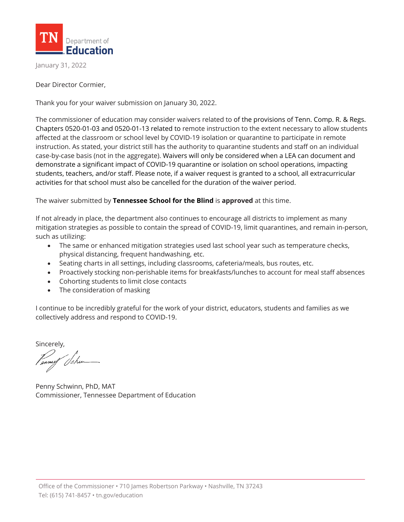

January 31, 2022

Dear Director Cormier,

Thank you for your waiver submission on January 30, 2022.

The commissioner of education may consider waivers related to of the provisions of Tenn. Comp. R. & Regs. Chapters 0520-01-03 and 0520-01-13 related to remote instruction to the extent necessary to allow students affected at the classroom or school level by COVID-19 isolation or quarantine to participate in remote instruction. As stated, your district still has the authority to quarantine students and staff on an individual case-by-case basis (not in the aggregate). Waivers will only be considered when a LEA can document and demonstrate a significant impact of COVID-19 quarantine or isolation on school operations, impacting students, teachers, and/or staff. Please note, if a waiver request is granted to a school, all extracurricular activities for that school must also be cancelled for the duration of the waiver period.

The waiver submitted by **Tennessee School for the Blind** is **approved** at this time.

If not already in place, the department also continues to encourage all districts to implement as many mitigation strategies as possible to contain the spread of COVID-19, limit quarantines, and remain in-person, such as utilizing:

- The same or enhanced mitigation strategies used last school year such as temperature checks, physical distancing, frequent handwashing, etc.
- Seating charts in all settings, including classrooms, cafeteria/meals, bus routes, etc.
- Proactively stocking non-perishable items for breakfasts/lunches to account for meal staff absences
- Cohorting students to limit close contacts
- The consideration of masking

I continue to be incredibly grateful for the work of your district, educators, students and families as we collectively address and respond to COVID-19.

Sincerely,

Penny Schwinn, PhD, MAT Commissioner, Tennessee Department of Education